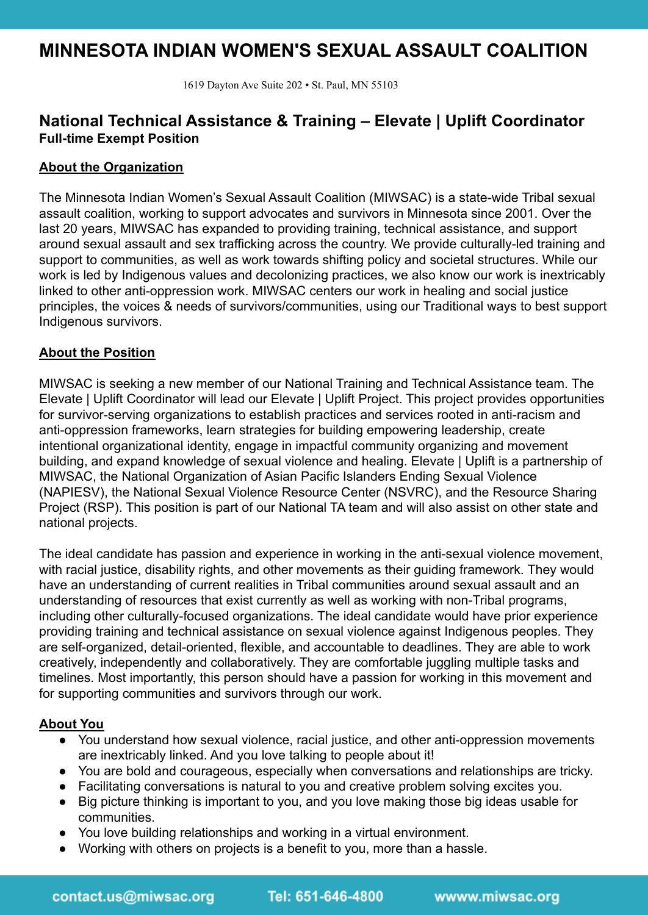# **MINNESOTA INDIAN WOMEN'S SEXUAL ASSAULT COALITION**

1619 Dayton Ave Suite 202 • St. Paul, MN 55103

# **National Technical Assistance & Training – Elevate | Uplift Coordinator Full-time Exempt Position**

# **About the Organization**

The Minnesota Indian Women's Sexual Assault Coalition (MIWSAC) is a state-wide Tribal sexual assault coalition, working to support advocates and survivors in Minnesota since 2001. Over the last 20 years, MIWSAC has expanded to providing training, technical assistance, and support around sexual assault and sex trafficking across the country. We provide culturally-led training and support to communities, as well as work towards shifting policy and societal structures. While our work is led by Indigenous values and decolonizing practices, we also know our work is inextricably linked to other anti-oppression work. MIWSAC centers our work in healing and social justice principles, the voices & needs of survivors/communities, using our Traditional ways to best support Indigenous survivors.

# **About the Position**

MIWSAC is seeking a new member of our National Training and Technical Assistance team. The Elevate | Uplift Coordinator will lead our Elevate | Uplift Project. This project provides opportunities for survivor-serving organizations to establish practices and services rooted in anti-racism and anti-oppression frameworks, learn strategies for building empowering leadership, create intentional organizational identity, engage in impactful community organizing and movement building, and expand knowledge of sexual violence and healing. Elevate | Uplift is a partnership of MIWSAC, the National Organization of Asian Pacific Islanders Ending Sexual Violence (NAPIESV), the National Sexual Violence Resource Center (NSVRC), and the Resource Sharing Project (RSP). This position is part of our National TA team and will also assist on other state and national projects.

The ideal candidate has passion and experience in working in the anti-sexual violence movement, with racial justice, disability rights, and other movements as their guiding framework. They would have an understanding of current realities in Tribal communities around sexual assault and an understanding of resources that exist currently as well as working with non-Tribal programs, including other culturally-focused organizations. The ideal candidate would have prior experience providing training and technical assistance on sexual violence against Indigenous peoples. They are self-organized, detail-oriented, flexible, and accountable to deadlines. They are able to work creatively, independently and collaboratively. They are comfortable juggling multiple tasks and timelines. Most importantly, this person should have a passion for working in this movement and for supporting communities and survivors through our work.

#### **About You**

- You understand how sexual violence, racial justice, and other anti-oppression movements are inextricably linked. And you love talking to people about it!
- You are bold and courageous, especially when conversations and relationships are tricky.
- Facilitating conversations is natural to you and creative problem solving excites you.
- Big picture thinking is important to you, and you love making those big ideas usable for communities.
- You love building relationships and working in a virtual environment.
- Working with others on projects is a benefit to you, more than a hassle.

Tel: 651-646-4800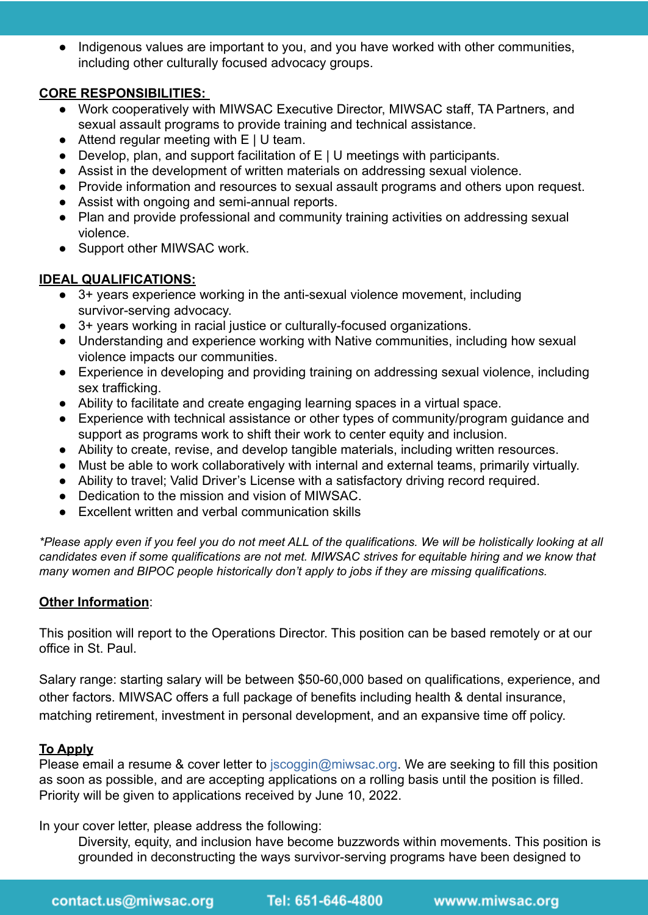• Indigenous values are important to you, and you have worked with other communities, including other culturally focused advocacy groups.

# **CORE RESPONSIBILITIES:**

- Work cooperatively with MIWSAC Executive Director, MIWSAC staff, TA Partners, and sexual assault programs to provide training and technical assistance.
- Attend regular meeting with E | U team.
- Develop, plan, and support facilitation of E | U meetings with participants.
- Assist in the development of written materials on addressing sexual violence.
- Provide information and resources to sexual assault programs and others upon request.
- Assist with ongoing and semi-annual reports.
- Plan and provide professional and community training activities on addressing sexual violence.
- Support other MIWSAC work.

# **IDEAL QUALIFICATIONS:**

- 3+ years experience working in the anti-sexual violence movement, including survivor-serving advocacy.
- 3+ years working in racial justice or culturally-focused organizations.
- Understanding and experience working with Native communities, including how sexual violence impacts our communities.
- Experience in developing and providing training on addressing sexual violence, including sex trafficking.
- Ability to facilitate and create engaging learning spaces in a virtual space.
- Experience with technical assistance or other types of community/program guidance and support as programs work to shift their work to center equity and inclusion.
- Ability to create, revise, and develop tangible materials, including written resources.
- Must be able to work collaboratively with internal and external teams, primarily virtually.
- Ability to travel; Valid Driver's License with a satisfactory driving record required.
- Dedication to the mission and vision of MIWSAC.
- Excellent written and verbal communication skills

*\*Please apply even if you feel you do not meet ALL of the qualifications. We will be holistically looking at all candidates even if some qualifications are not met. MIWSAC strives for equitable hiring and we know that many women and BIPOC people historically don't apply to jobs if they are missing qualifications.* 

#### **Other Information**:

This position will report to the Operations Director. This position can be based remotely or at our office in St. Paul.

Salary range: starting salary will be between \$50-60,000 based on qualifications, experience, and other factors. MIWSAC offers a full package of benefits including health & dental insurance, matching retirement, investment in personal development, and an expansive time off policy.

#### **To Apply**

Please email a resume & cover letter to jscoggin@miwsac.org. We are seeking to fill this position as soon as possible, and are accepting applications on a rolling basis until the position is filled. Priority will be given to applications received by June 10, 2022.

In your cover letter, please address the following:

Diversity, equity, and inclusion have become buzzwords within movements. This position is grounded in deconstructing the ways survivor-serving programs have been designed to

 $T$ el: 651-646-4800